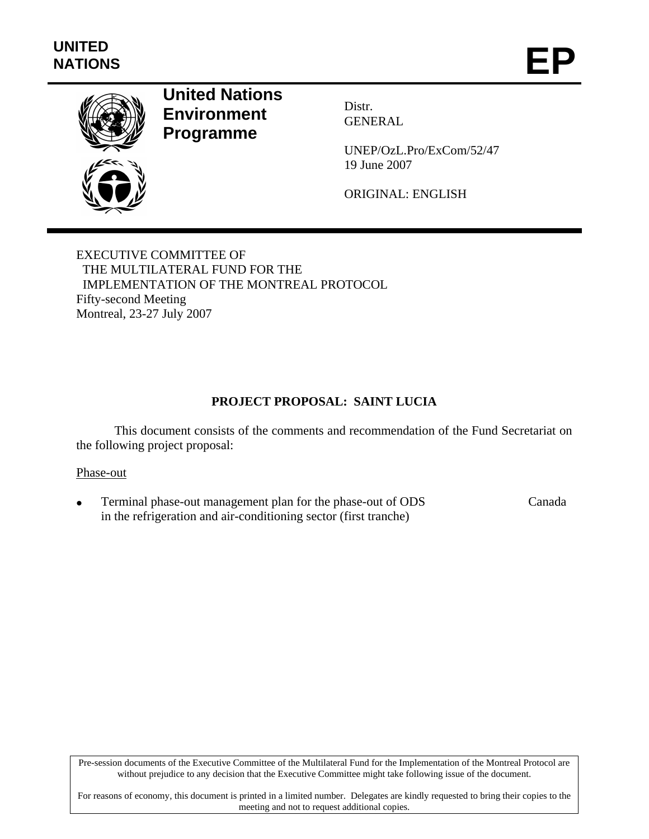

# **United Nations Environment Programme**

Distr. GENERAL

UNEP/OzL.Pro/ExCom/52/47 19 June 2007

ORIGINAL: ENGLISH

EXECUTIVE COMMITTEE OF THE MULTILATERAL FUND FOR THE IMPLEMENTATION OF THE MONTREAL PROTOCOL Fifty-second Meeting Montreal, 23-27 July 2007

## **PROJECT PROPOSAL: SAINT LUCIA**

This document consists of the comments and recommendation of the Fund Secretariat on the following project proposal:

#### Phase-out

• Terminal phase-out management plan for the phase-out of ODS in the refrigeration and air-conditioning sector (first tranche) Canada

Pre-session documents of the Executive Committee of the Multilateral Fund for the Implementation of the Montreal Protocol are without prejudice to any decision that the Executive Committee might take following issue of the document.

For reasons of economy, this document is printed in a limited number. Delegates are kindly requested to bring their copies to the meeting and not to request additional copies.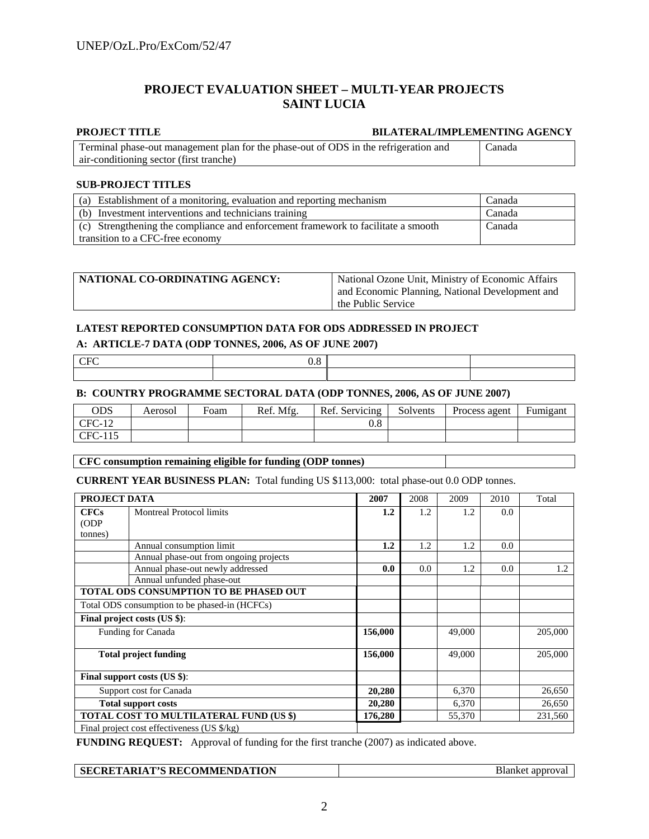#### **PROJECT EVALUATION SHEET – MULTI-YEAR PROJECTS SAINT LUCIA**

#### **PROJECT TITLE BILATERAL/IMPLEMENTING AGENCY**

| Terminal phase-out management plan for the phase-out of ODS in the refrigeration and | Canada |
|--------------------------------------------------------------------------------------|--------|
| air-conditioning sector (first tranche)                                              |        |

#### **SUB-PROJECT TITLES**

| (a) Establishment of a monitoring, evaluation and reporting mechanism             | Canada |
|-----------------------------------------------------------------------------------|--------|
| (b) Investment interventions and technicians training                             | Canada |
| (c) Strengthening the compliance and enforcement framework to facilitate a smooth | Canada |
| transition to a CFC-free economy                                                  |        |

| NATIONAL CO-ORDINATING AGENCY: | National Ozone Unit, Ministry of Economic Affairs |  |
|--------------------------------|---------------------------------------------------|--|
|                                | and Economic Planning, National Development and   |  |
|                                | the Public Service                                |  |

#### **LATEST REPORTED CONSUMPTION DATA FOR ODS ADDRESSED IN PROJECT**

#### **A: ARTICLE-7 DATA (ODP TONNES, 2006, AS OF JUNE 2007)**

| v.v |  |
|-----|--|
|     |  |

#### **B: COUNTRY PROGRAMME SECTORAL DATA (ODP TONNES, 2006, AS OF JUNE 2007)**

| ODS      | Aerosol | Foam | Ref. Mfg. | Ref. Servicing | Solvents | Process agent | Fumigant |
|----------|---------|------|-----------|----------------|----------|---------------|----------|
| $CFC-12$ |         |      |           |                |          |               |          |
| CFC-115  |         |      |           |                |          |               |          |

#### **CFC consumption remaining eligible for funding (ODP tonnes)**

**CURRENT YEAR BUSINESS PLAN:** Total funding US \$113,000: total phase-out 0.0 ODP tonnes.

|                                         | PROJECT DATA<br>2007<br>2008<br>2009<br>2010  |         |     | Total  |     |         |
|-----------------------------------------|-----------------------------------------------|---------|-----|--------|-----|---------|
| <b>CFCs</b>                             | <b>Montreal Protocol limits</b>               | 1.2     | 1.2 | 1.2    | 0.0 |         |
| (ODP)                                   |                                               |         |     |        |     |         |
| tonnes)                                 |                                               |         |     |        |     |         |
|                                         | Annual consumption limit                      | 1.2     | 1.2 | 1.2    | 0.0 |         |
|                                         | Annual phase-out from ongoing projects        |         |     |        |     |         |
|                                         | Annual phase-out newly addressed              | 0.0     | 0.0 | 1.2    | 0.0 | 1.2     |
|                                         | Annual unfunded phase-out                     |         |     |        |     |         |
|                                         | <b>TOTAL ODS CONSUMPTION TO BE PHASED OUT</b> |         |     |        |     |         |
|                                         | Total ODS consumption to be phased-in (HCFCs) |         |     |        |     |         |
|                                         | Final project costs (US \$):                  |         |     |        |     |         |
|                                         | Funding for Canada                            | 156,000 |     | 49,000 |     | 205,000 |
|                                         | <b>Total project funding</b>                  | 156,000 |     | 49,000 |     | 205,000 |
|                                         | Final support costs (US \$):                  |         |     |        |     |         |
| Support cost for Canada                 |                                               | 20,280  |     | 6,370  |     | 26,650  |
|                                         | <b>Total support costs</b>                    |         |     | 6,370  |     | 26,650  |
| TOTAL COST TO MULTILATERAL FUND (US \$) |                                               | 176,280 |     | 55,370 |     | 231,560 |
|                                         | Final project cost effectiveness (US \$/kg)   |         |     |        |     |         |

**FUNDING REQUEST:** Approval of funding for the first tranche (2007) as indicated above.

| <b>SECRETARIAT'S RECOMMENDATION</b><br>addr<br>эншке<br>$\begin{array}{c} \begin{array}{c} \begin{array}{c} \begin{array}{c} \end{array} \\ \end{array} \end{array} \end{array} \end{array} \end{array} \end{array} \begin{array}{c} \begin{array}{c} \begin{array}{c} \end{array} \end{array} \end{array} \begin{array}{c} \begin{array}{c} \begin{array}{c} \end{array} \end{array} \end{array} \end{array} \begin{array}{c} \begin{array}{c} \begin{array}{c} \end{array} \end{array} \end{array} \begin{array}{c} \begin{array}{c} \end{array} \end{array} \end{array} \begin{array}{c} \begin{array}{c}$ |
|---------------------------------------------------------------------------------------------------------------------------------------------------------------------------------------------------------------------------------------------------------------------------------------------------------------------------------------------------------------------------------------------------------------------------------------------------------------------------------------------------------------------------------------------------------------------------------------------------------------|
|---------------------------------------------------------------------------------------------------------------------------------------------------------------------------------------------------------------------------------------------------------------------------------------------------------------------------------------------------------------------------------------------------------------------------------------------------------------------------------------------------------------------------------------------------------------------------------------------------------------|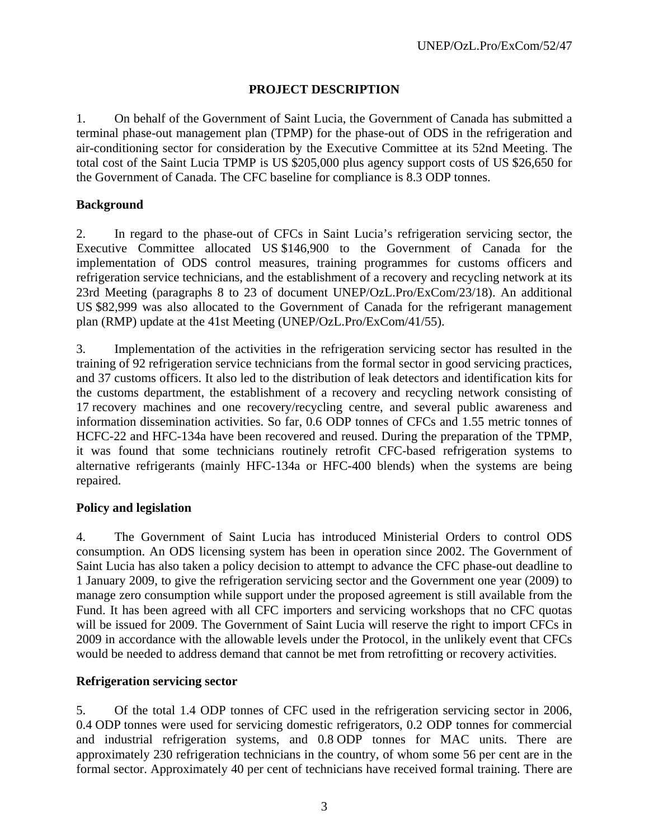### **PROJECT DESCRIPTION**

1. On behalf of the Government of Saint Lucia, the Government of Canada has submitted a terminal phase-out management plan (TPMP) for the phase-out of ODS in the refrigeration and air-conditioning sector for consideration by the Executive Committee at its 52nd Meeting. The total cost of the Saint Lucia TPMP is US \$205,000 plus agency support costs of US \$26,650 for the Government of Canada. The CFC baseline for compliance is 8.3 ODP tonnes.

### **Background**

2. In regard to the phase-out of CFCs in Saint Lucia's refrigeration servicing sector, the Executive Committee allocated US \$146,900 to the Government of Canada for the implementation of ODS control measures, training programmes for customs officers and refrigeration service technicians, and the establishment of a recovery and recycling network at its 23rd Meeting (paragraphs 8 to 23 of document UNEP/OzL.Pro/ExCom/23/18). An additional US \$82,999 was also allocated to the Government of Canada for the refrigerant management plan (RMP) update at the 41st Meeting (UNEP/OzL.Pro/ExCom/41/55).

3. Implementation of the activities in the refrigeration servicing sector has resulted in the training of 92 refrigeration service technicians from the formal sector in good servicing practices, and 37 customs officers. It also led to the distribution of leak detectors and identification kits for the customs department, the establishment of a recovery and recycling network consisting of 17 recovery machines and one recovery/recycling centre, and several public awareness and information dissemination activities. So far, 0.6 ODP tonnes of CFCs and 1.55 metric tonnes of HCFC-22 and HFC-134a have been recovered and reused. During the preparation of the TPMP, it was found that some technicians routinely retrofit CFC-based refrigeration systems to alternative refrigerants (mainly HFC-134a or HFC-400 blends) when the systems are being repaired.

### **Policy and legislation**

4. The Government of Saint Lucia has introduced Ministerial Orders to control ODS consumption. An ODS licensing system has been in operation since 2002. The Government of Saint Lucia has also taken a policy decision to attempt to advance the CFC phase-out deadline to 1 January 2009, to give the refrigeration servicing sector and the Government one year (2009) to manage zero consumption while support under the proposed agreement is still available from the Fund. It has been agreed with all CFC importers and servicing workshops that no CFC quotas will be issued for 2009. The Government of Saint Lucia will reserve the right to import CFCs in 2009 in accordance with the allowable levels under the Protocol, in the unlikely event that CFCs would be needed to address demand that cannot be met from retrofitting or recovery activities.

### **Refrigeration servicing sector**

5. Of the total 1.4 ODP tonnes of CFC used in the refrigeration servicing sector in 2006, 0.4 ODP tonnes were used for servicing domestic refrigerators, 0.2 ODP tonnes for commercial and industrial refrigeration systems, and 0.8 ODP tonnes for MAC units. There are approximately 230 refrigeration technicians in the country, of whom some 56 per cent are in the formal sector. Approximately 40 per cent of technicians have received formal training. There are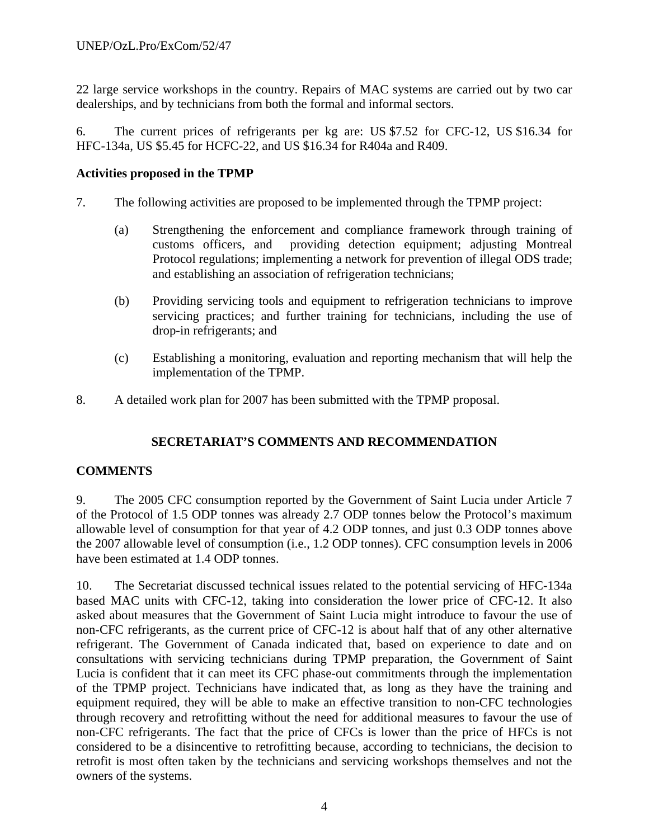22 large service workshops in the country. Repairs of MAC systems are carried out by two car dealerships, and by technicians from both the formal and informal sectors.

6. The current prices of refrigerants per kg are: US \$7.52 for CFC-12, US \$16.34 for HFC-134a, US \$5.45 for HCFC-22, and US \$16.34 for R404a and R409.

#### **Activities proposed in the TPMP**

- 7. The following activities are proposed to be implemented through the TPMP project:
	- (a) Strengthening the enforcement and compliance framework through training of customs officers, and providing detection equipment; adjusting Montreal Protocol regulations; implementing a network for prevention of illegal ODS trade; and establishing an association of refrigeration technicians;
	- (b) Providing servicing tools and equipment to refrigeration technicians to improve servicing practices; and further training for technicians, including the use of drop-in refrigerants; and
	- (c) Establishing a monitoring, evaluation and reporting mechanism that will help the implementation of the TPMP.
- 8. A detailed work plan for 2007 has been submitted with the TPMP proposal.

### **SECRETARIAT'S COMMENTS AND RECOMMENDATION**

### **COMMENTS**

9. The 2005 CFC consumption reported by the Government of Saint Lucia under Article 7 of the Protocol of 1.5 ODP tonnes was already 2.7 ODP tonnes below the Protocol's maximum allowable level of consumption for that year of 4.2 ODP tonnes, and just 0.3 ODP tonnes above the 2007 allowable level of consumption (i.e., 1.2 ODP tonnes). CFC consumption levels in 2006 have been estimated at 1.4 ODP tonnes.

10. The Secretariat discussed technical issues related to the potential servicing of HFC-134a based MAC units with CFC-12, taking into consideration the lower price of CFC-12. It also asked about measures that the Government of Saint Lucia might introduce to favour the use of non-CFC refrigerants, as the current price of CFC-12 is about half that of any other alternative refrigerant. The Government of Canada indicated that, based on experience to date and on consultations with servicing technicians during TPMP preparation, the Government of Saint Lucia is confident that it can meet its CFC phase-out commitments through the implementation of the TPMP project. Technicians have indicated that, as long as they have the training and equipment required, they will be able to make an effective transition to non-CFC technologies through recovery and retrofitting without the need for additional measures to favour the use of non-CFC refrigerants. The fact that the price of CFCs is lower than the price of HFCs is not considered to be a disincentive to retrofitting because, according to technicians, the decision to retrofit is most often taken by the technicians and servicing workshops themselves and not the owners of the systems.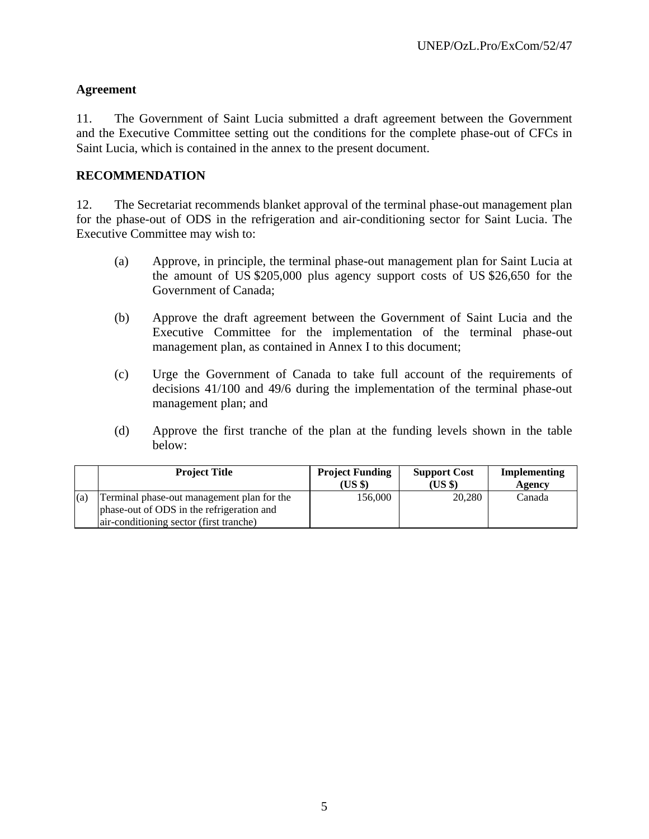### **Agreement**

11. The Government of Saint Lucia submitted a draft agreement between the Government and the Executive Committee setting out the conditions for the complete phase-out of CFCs in Saint Lucia, which is contained in the annex to the present document.

### **RECOMMENDATION**

12. The Secretariat recommends blanket approval of the terminal phase-out management plan for the phase-out of ODS in the refrigeration and air-conditioning sector for Saint Lucia. The Executive Committee may wish to:

- (a) Approve, in principle, the terminal phase-out management plan for Saint Lucia at the amount of US \$205,000 plus agency support costs of US \$26,650 for the Government of Canada;
- (b) Approve the draft agreement between the Government of Saint Lucia and the Executive Committee for the implementation of the terminal phase-out management plan, as contained in Annex I to this document;
- (c) Urge the Government of Canada to take full account of the requirements of decisions 41/100 and 49/6 during the implementation of the terminal phase-out management plan; and
- (d) Approve the first tranche of the plan at the funding levels shown in the table below:

|     | <b>Project Title</b>                       | <b>Project Funding</b><br>(US \$) | <b>Support Cost</b><br>(US \$) | Implementing<br>Agency |
|-----|--------------------------------------------|-----------------------------------|--------------------------------|------------------------|
| (a) | Terminal phase-out management plan for the | 156.000                           | 20,280                         | Canada                 |
|     | phase-out of ODS in the refrigeration and  |                                   |                                |                        |
|     | air-conditioning sector (first tranche)    |                                   |                                |                        |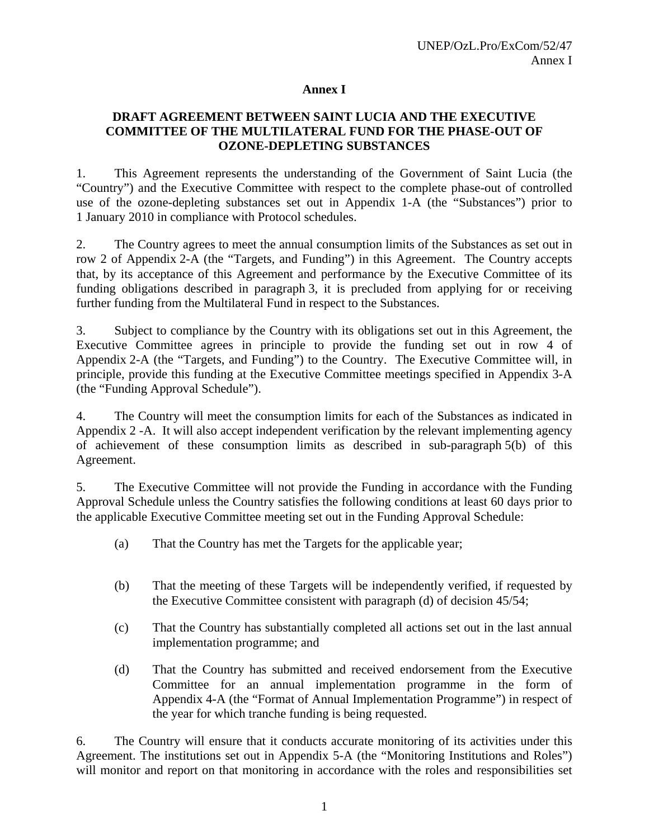#### **Annex I**

#### **DRAFT AGREEMENT BETWEEN SAINT LUCIA AND THE EXECUTIVE COMMITTEE OF THE MULTILATERAL FUND FOR THE PHASE-OUT OF OZONE-DEPLETING SUBSTANCES**

1. This Agreement represents the understanding of the Government of Saint Lucia (the "Country") and the Executive Committee with respect to the complete phase-out of controlled use of the ozone-depleting substances set out in Appendix 1-A (the "Substances") prior to 1 January 2010 in compliance with Protocol schedules.

2. The Country agrees to meet the annual consumption limits of the Substances as set out in row 2 of Appendix 2-A (the "Targets, and Funding") in this Agreement. The Country accepts that, by its acceptance of this Agreement and performance by the Executive Committee of its funding obligations described in paragraph 3, it is precluded from applying for or receiving further funding from the Multilateral Fund in respect to the Substances.

3. Subject to compliance by the Country with its obligations set out in this Agreement, the Executive Committee agrees in principle to provide the funding set out in row 4 of Appendix 2-A (the "Targets, and Funding") to the Country. The Executive Committee will, in principle, provide this funding at the Executive Committee meetings specified in Appendix 3-A (the "Funding Approval Schedule").

4. The Country will meet the consumption limits for each of the Substances as indicated in Appendix 2 -A. It will also accept independent verification by the relevant implementing agency of achievement of these consumption limits as described in sub-paragraph 5(b) of this Agreement.

5. The Executive Committee will not provide the Funding in accordance with the Funding Approval Schedule unless the Country satisfies the following conditions at least 60 days prior to the applicable Executive Committee meeting set out in the Funding Approval Schedule:

- (a) That the Country has met the Targets for the applicable year;
- (b) That the meeting of these Targets will be independently verified, if requested by the Executive Committee consistent with paragraph (d) of decision 45/54;
- (c) That the Country has substantially completed all actions set out in the last annual implementation programme; and
- (d) That the Country has submitted and received endorsement from the Executive Committee for an annual implementation programme in the form of Appendix 4-A (the "Format of Annual Implementation Programme") in respect of the year for which tranche funding is being requested.

6. The Country will ensure that it conducts accurate monitoring of its activities under this Agreement. The institutions set out in Appendix 5-A (the "Monitoring Institutions and Roles") will monitor and report on that monitoring in accordance with the roles and responsibilities set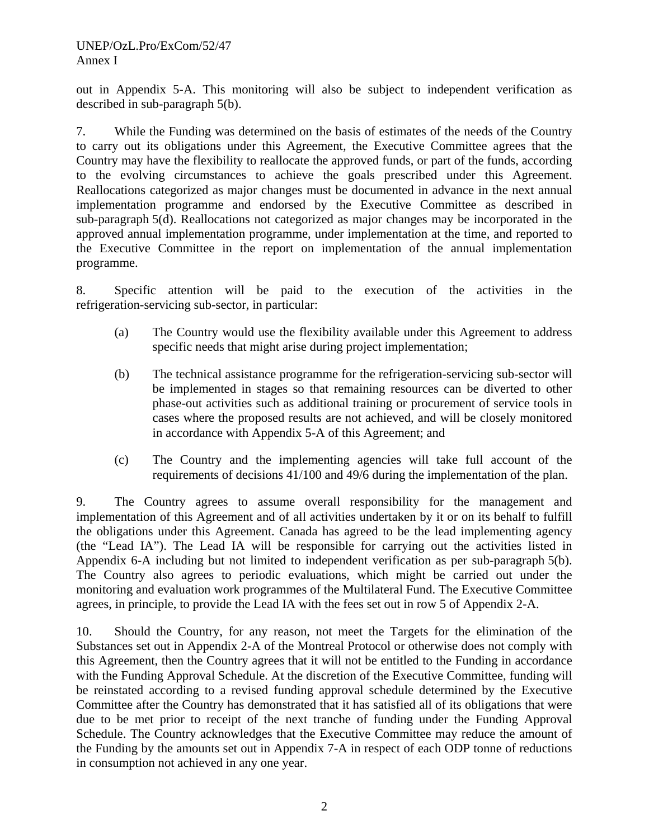out in Appendix 5-A. This monitoring will also be subject to independent verification as described in sub-paragraph 5(b).

7. While the Funding was determined on the basis of estimates of the needs of the Country to carry out its obligations under this Agreement, the Executive Committee agrees that the Country may have the flexibility to reallocate the approved funds, or part of the funds, according to the evolving circumstances to achieve the goals prescribed under this Agreement. Reallocations categorized as major changes must be documented in advance in the next annual implementation programme and endorsed by the Executive Committee as described in sub-paragraph 5(d). Reallocations not categorized as major changes may be incorporated in the approved annual implementation programme, under implementation at the time, and reported to the Executive Committee in the report on implementation of the annual implementation programme.

8. Specific attention will be paid to the execution of the activities in the refrigeration-servicing sub-sector, in particular:

- (a) The Country would use the flexibility available under this Agreement to address specific needs that might arise during project implementation;
- (b) The technical assistance programme for the refrigeration-servicing sub-sector will be implemented in stages so that remaining resources can be diverted to other phase-out activities such as additional training or procurement of service tools in cases where the proposed results are not achieved, and will be closely monitored in accordance with Appendix 5-A of this Agreement; and
- (c) The Country and the implementing agencies will take full account of the requirements of decisions 41/100 and 49/6 during the implementation of the plan.

9. The Country agrees to assume overall responsibility for the management and implementation of this Agreement and of all activities undertaken by it or on its behalf to fulfill the obligations under this Agreement. Canada has agreed to be the lead implementing agency (the "Lead IA"). The Lead IA will be responsible for carrying out the activities listed in Appendix 6-A including but not limited to independent verification as per sub-paragraph 5(b). The Country also agrees to periodic evaluations, which might be carried out under the monitoring and evaluation work programmes of the Multilateral Fund. The Executive Committee agrees, in principle, to provide the Lead IA with the fees set out in row 5 of Appendix 2-A.

10. Should the Country, for any reason, not meet the Targets for the elimination of the Substances set out in Appendix 2-A of the Montreal Protocol or otherwise does not comply with this Agreement, then the Country agrees that it will not be entitled to the Funding in accordance with the Funding Approval Schedule. At the discretion of the Executive Committee, funding will be reinstated according to a revised funding approval schedule determined by the Executive Committee after the Country has demonstrated that it has satisfied all of its obligations that were due to be met prior to receipt of the next tranche of funding under the Funding Approval Schedule. The Country acknowledges that the Executive Committee may reduce the amount of the Funding by the amounts set out in Appendix 7-A in respect of each ODP tonne of reductions in consumption not achieved in any one year.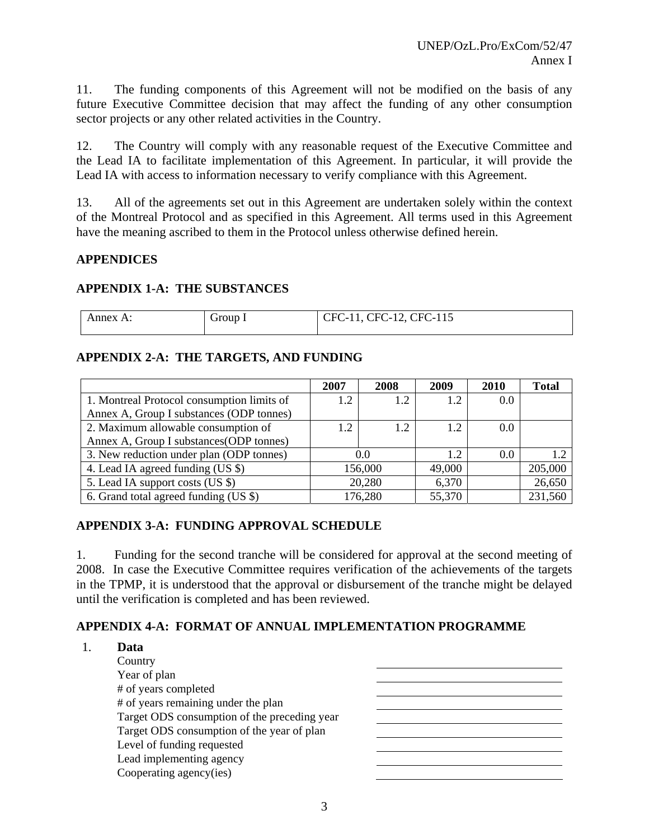11. The funding components of this Agreement will not be modified on the basis of any future Executive Committee decision that may affect the funding of any other consumption sector projects or any other related activities in the Country.

12. The Country will comply with any reasonable request of the Executive Committee and the Lead IA to facilitate implementation of this Agreement. In particular, it will provide the Lead IA with access to information necessary to verify compliance with this Agreement.

13. All of the agreements set out in this Agreement are undertaken solely within the context of the Montreal Protocol and as specified in this Agreement. All terms used in this Agreement have the meaning ascribed to them in the Protocol unless otherwise defined herein.

#### **APPENDICES**

#### **APPENDIX 1-A: THE SUBSTANCES**

| √nnex A | $\tau$ roup. | CFC-12, CFC-115<br>'FC |
|---------|--------------|------------------------|
|         |              |                        |

#### **APPENDIX 2-A: THE TARGETS, AND FUNDING**

|                                            | 2007 | 2008    | 2009   | 2010 | <b>Total</b> |
|--------------------------------------------|------|---------|--------|------|--------------|
| 1. Montreal Protocol consumption limits of | 1.2  | 1.2     | 1.2    | 0.0  |              |
| Annex A, Group I substances (ODP tonnes)   |      |         |        |      |              |
| 2. Maximum allowable consumption of        | 1.2  |         | 1.2    | 0.0  |              |
| Annex A, Group I substances (ODP tonnes)   |      |         |        |      |              |
| 3. New reduction under plan (ODP tonnes)   |      | 0.0     | 1.2    | 0.0  |              |
| 4. Lead IA agreed funding (US \$)          |      | 156,000 | 49,000 |      | 205,000      |
| 5. Lead IA support costs (US \$)           |      | 20,280  | 6,370  |      | 26,650       |
| 6. Grand total agreed funding (US \$)      |      | 176,280 | 55,370 |      | 231,560      |

### **APPENDIX 3-A: FUNDING APPROVAL SCHEDULE**

1. Funding for the second tranche will be considered for approval at the second meeting of 2008. In case the Executive Committee requires verification of the achievements of the targets in the TPMP, it is understood that the approval or disbursement of the tranche might be delayed until the verification is completed and has been reviewed.

### **APPENDIX 4-A: FORMAT OF ANNUAL IMPLEMENTATION PROGRAMME**

| Data                                         |  |
|----------------------------------------------|--|
| Country                                      |  |
| Year of plan                                 |  |
| # of years completed                         |  |
| # of years remaining under the plan          |  |
| Target ODS consumption of the preceding year |  |
| Target ODS consumption of the year of plan   |  |
| Level of funding requested                   |  |
| Lead implementing agency                     |  |
| Cooperating agency(ies)                      |  |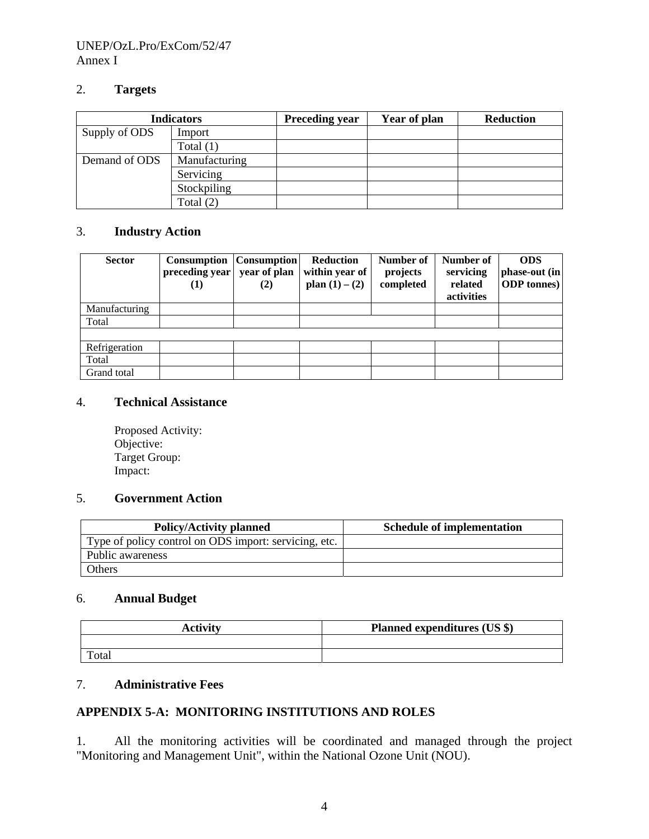#### UNEP/OzL.Pro/ExCom/52/47 Annex I

#### 2. **Targets**

|               | <b>Indicators</b> | <b>Preceding year</b> | Year of plan | <b>Reduction</b> |
|---------------|-------------------|-----------------------|--------------|------------------|
| Supply of ODS | Import            |                       |              |                  |
|               | Total $(1)$       |                       |              |                  |
| Demand of ODS | Manufacturing     |                       |              |                  |
|               | Servicing         |                       |              |                  |
|               | Stockpiling       |                       |              |                  |
|               | Total $(2)$       |                       |              |                  |

#### 3. **Industry Action**

| <b>Sector</b> | <b>Consumption</b><br>preceding year<br>(1) | <b>Consumption</b><br>year of plan<br>(2) | <b>Reduction</b><br>within year of<br>plan $(1) - (2)$ | Number of<br>projects<br>completed | Number of<br>servicing<br>related<br>activities | <b>ODS</b><br>phase-out (in)<br><b>ODP</b> tonnes) |
|---------------|---------------------------------------------|-------------------------------------------|--------------------------------------------------------|------------------------------------|-------------------------------------------------|----------------------------------------------------|
| Manufacturing |                                             |                                           |                                                        |                                    |                                                 |                                                    |
| Total         |                                             |                                           |                                                        |                                    |                                                 |                                                    |
|               |                                             |                                           |                                                        |                                    |                                                 |                                                    |
| Refrigeration |                                             |                                           |                                                        |                                    |                                                 |                                                    |
| Total         |                                             |                                           |                                                        |                                    |                                                 |                                                    |
| Grand total   |                                             |                                           |                                                        |                                    |                                                 |                                                    |

#### 4. **Technical Assistance**

Proposed Activity: Objective: Target Group: Impact:

#### 5. **Government Action**

| <b>Policy/Activity planned</b>                        | <b>Schedule of implementation</b> |
|-------------------------------------------------------|-----------------------------------|
| Type of policy control on ODS import: servicing, etc. |                                   |
| Public awareness                                      |                                   |
| Others                                                |                                   |

### 6. **Annual Budget**

| <b>Activity</b> | Planned expenditures (US \$) |
|-----------------|------------------------------|
|                 |                              |
| Total           |                              |

### 7. **Administrative Fees**

#### **APPENDIX 5-A: MONITORING INSTITUTIONS AND ROLES**

1. All the monitoring activities will be coordinated and managed through the project "Monitoring and Management Unit", within the National Ozone Unit (NOU).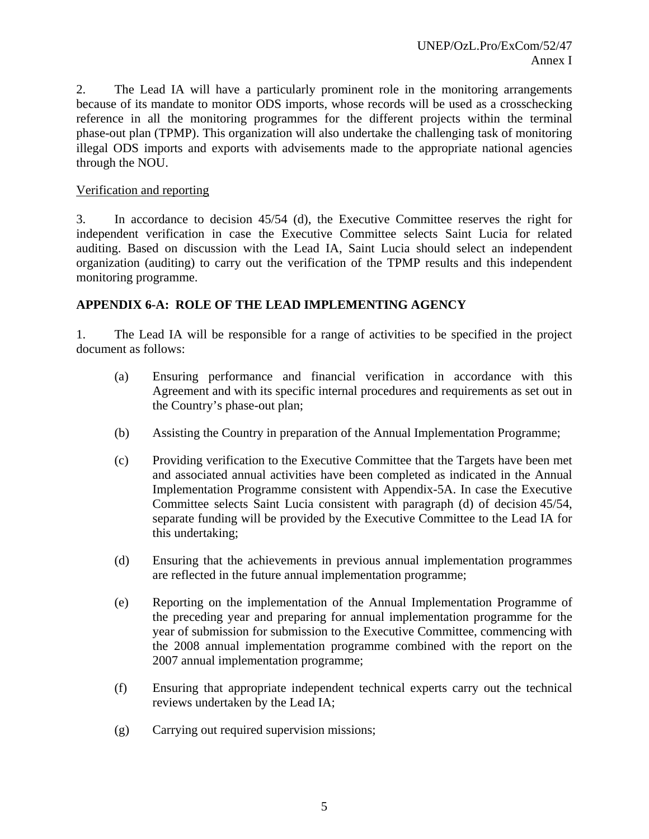2. The Lead IA will have a particularly prominent role in the monitoring arrangements because of its mandate to monitor ODS imports, whose records will be used as a crosschecking reference in all the monitoring programmes for the different projects within the terminal phase-out plan (TPMP). This organization will also undertake the challenging task of monitoring illegal ODS imports and exports with advisements made to the appropriate national agencies through the NOU.

#### Verification and reporting

3. In accordance to decision 45/54 (d), the Executive Committee reserves the right for independent verification in case the Executive Committee selects Saint Lucia for related auditing. Based on discussion with the Lead IA, Saint Lucia should select an independent organization (auditing) to carry out the verification of the TPMP results and this independent monitoring programme.

#### **APPENDIX 6-A: ROLE OF THE LEAD IMPLEMENTING AGENCY**

1. The Lead IA will be responsible for a range of activities to be specified in the project document as follows:

- (a) Ensuring performance and financial verification in accordance with this Agreement and with its specific internal procedures and requirements as set out in the Country's phase-out plan;
- (b) Assisting the Country in preparation of the Annual Implementation Programme;
- (c) Providing verification to the Executive Committee that the Targets have been met and associated annual activities have been completed as indicated in the Annual Implementation Programme consistent with Appendix-5A. In case the Executive Committee selects Saint Lucia consistent with paragraph (d) of decision 45/54, separate funding will be provided by the Executive Committee to the Lead IA for this undertaking;
- (d) Ensuring that the achievements in previous annual implementation programmes are reflected in the future annual implementation programme;
- (e) Reporting on the implementation of the Annual Implementation Programme of the preceding year and preparing for annual implementation programme for the year of submission for submission to the Executive Committee, commencing with the 2008 annual implementation programme combined with the report on the 2007 annual implementation programme;
- (f) Ensuring that appropriate independent technical experts carry out the technical reviews undertaken by the Lead IA;
- (g) Carrying out required supervision missions;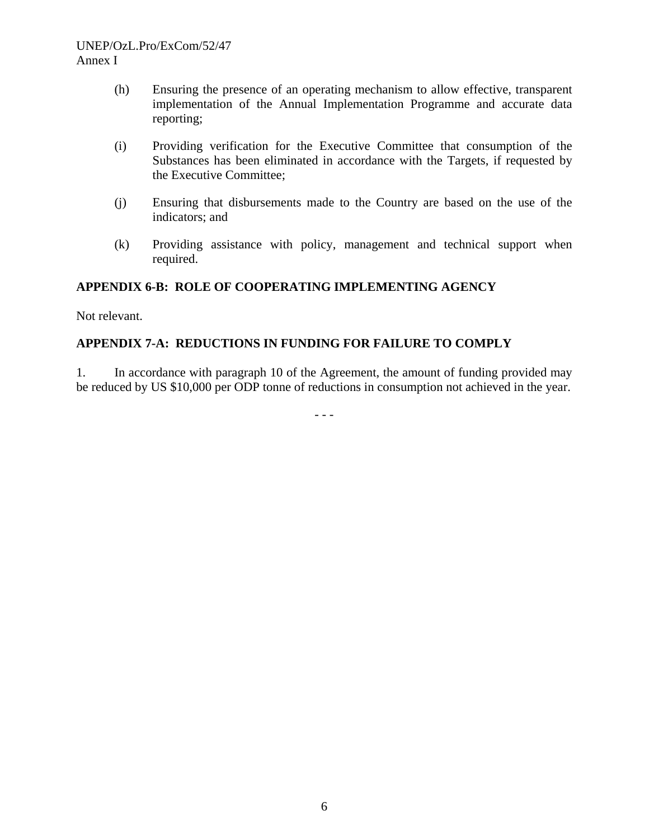#### UNEP/OzL.Pro/ExCom/52/47 Annex I

- (h) Ensuring the presence of an operating mechanism to allow effective, transparent implementation of the Annual Implementation Programme and accurate data reporting;
- (i) Providing verification for the Executive Committee that consumption of the Substances has been eliminated in accordance with the Targets, if requested by the Executive Committee;
- (j) Ensuring that disbursements made to the Country are based on the use of the indicators; and
- (k) Providing assistance with policy, management and technical support when required.

### **APPENDIX 6-B: ROLE OF COOPERATING IMPLEMENTING AGENCY**

Not relevant.

### **APPENDIX 7-A: REDUCTIONS IN FUNDING FOR FAILURE TO COMPLY**

1. In accordance with paragraph 10 of the Agreement, the amount of funding provided may be reduced by US \$10,000 per ODP tonne of reductions in consumption not achieved in the year.

- - -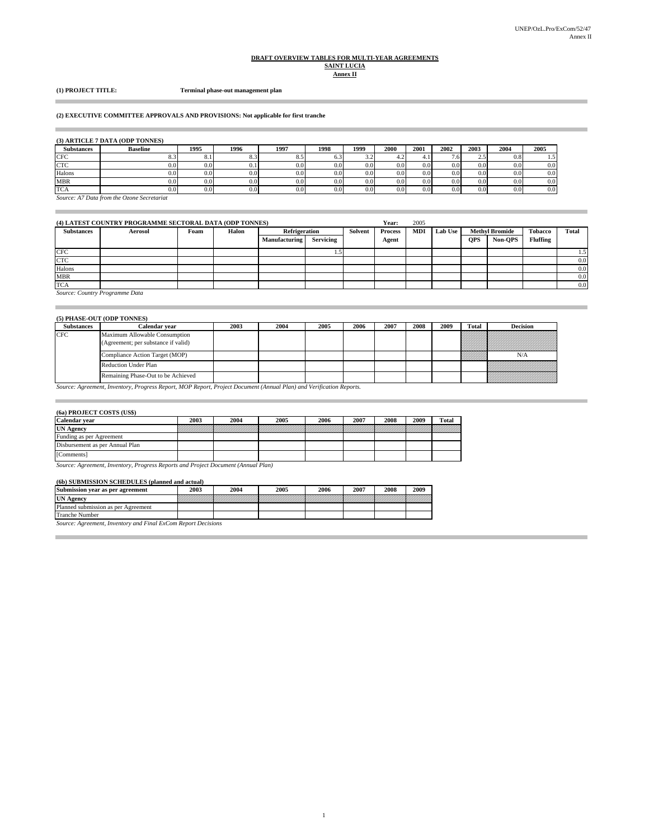# **DRAFT OVERVIEW TABLES FOR MULTI-YEAR AGREEMENTS SAINT LUCIA Annex II**

#### **(1) PROJECT TITLE: Terminal phase-out management plan**

#### **(2) EXECUTIVE COMMITTEE APPROVALS AND PROVISIONS: Not applicable for first tranche**

#### **(3) ARTICLE 7 DATA (ODP TONNES)**

| Substances | <b>Baseline</b> | 1995             | 1996 | 1997 | 1998      | 1999 | 2000     | 2001          | 2002    | 2003     | 2004     | 2005          |
|------------|-----------------|------------------|------|------|-----------|------|----------|---------------|---------|----------|----------|---------------|
| <b>CFC</b> |                 | $\Omega$<br>٥. . |      | 8.5  | U.J       | ے د  | ٠.       |               | $\cdot$ | <u>.</u> | 0.8      | $1.5^{\circ}$ |
| <b>CTC</b> | 0.01            | 0.01             |      | 0.0  | $0.0\,$   | 0.0  | $_{0.0}$ | $0.0\,$       | 0.0     | 0.0      | 0.0      | 0.0           |
| Halons     | $0.0\,$         | 0.0              | 0.0  | 0.0  | $0.0\,$   | 0.0  | $_{0.0}$ | 0.0           | 0.0     | 0.0      | $_{0.0}$ | 0.0           |
| <b>MBR</b> | $0.0\,$         | 0.0              | 0.0  | 0.0  | $0.0^{1}$ | 0.0  | 0.0      | $0.0^{\circ}$ | 0.0     | $_{0.0}$ | $_{0.0}$ | 0.0           |
| <b>TCA</b> | J.O.            | 0.0              | 0.0  | 0.0  | 0.0       | 0.0  | $_{0.0}$ | 0.0           | 0.0     | $_{0.0}$ | $_{0.0}$ | 0.0           |

*Source: A7 Data from the Ozone Secretariat*

| (4) LATEST COUNTRY PROGRAMME SECTORAL DATA (ODP TONNES) |                                |      |       |               |           | Year:   | 2005           |            |                |            |                       |                 |       |
|---------------------------------------------------------|--------------------------------|------|-------|---------------|-----------|---------|----------------|------------|----------------|------------|-----------------------|-----------------|-------|
| <b>Substances</b>                                       | <b>Aerosol</b>                 | Foam | Halon | Refrigeration |           | Solvent | <b>Process</b> | <b>MDI</b> | <b>Lab Use</b> |            | <b>Methyl Bromide</b> | <b>Tobacco</b>  | Total |
|                                                         |                                |      |       | Manufacturing | Servicing |         | Agent          |            |                | <b>OPS</b> | Non-OPS               | <b>Fluffing</b> |       |
| $_{\mathrm{CFC}}$                                       |                                |      |       |               |           |         |                |            |                |            |                       |                 | 1.5   |
| <b>CTC</b>                                              |                                |      |       |               |           |         |                |            |                |            |                       |                 | 0.0   |
| Halons                                                  |                                |      |       |               |           |         |                |            |                |            |                       |                 | 0.0   |
| <b>MBR</b>                                              |                                |      |       |               |           |         |                |            |                |            |                       |                 | 0.0   |
| <b>TCA</b>                                              |                                |      |       |               |           |         |                |            |                |            |                       |                 | 0.0   |
|                                                         | Source: Country Programme Data |      |       |               |           |         |                |            |                |            |                       |                 |       |

#### **(5) PHASE-OUT (ODP TONNES)**

| <b>Substances</b> | Calendar year                                                        | 2003 | 2004 | 2005 | 2006 | 2007 | 2008 | 2009 | <b>Total</b> | <b>Decision</b>                                                                                               |
|-------------------|----------------------------------------------------------------------|------|------|------|------|------|------|------|--------------|---------------------------------------------------------------------------------------------------------------|
| <b>CFC</b>        | Maximum Allowable Consumption<br>(Agreement; per substance if valid) |      |      |      |      |      |      |      |              | a kacamatan ing Kabupatèn Tanggaran Kabupatèn Tanggaran Kabupatèn Tanggaran Kabupatèn Tanggaran Kabupatèn Tan |
|                   | Compliance Action Target (MOP)                                       |      |      |      |      |      |      |      |              | N/A                                                                                                           |
|                   | <b>Reduction Under Plan</b>                                          |      |      |      |      |      |      |      |              |                                                                                                               |
|                   | Remaining Phase-Out to be Achieved                                   |      |      |      |      |      |      |      |              | <u>maanii ka</u>                                                                                              |

1

*Source: Agreement, Inventory, Progress Report, MOP Report, Project Document (Annual Plan) and Verification Reports.*

#### **(6a) PROJECT COSTS (US\$)**

 $\overline{a}$ 

ш

| <b>Calendar</b> vear            | 2003 | 2004 | 2005                                                                                                                 | 2006 | 2007 | 2008 | 2009 | <b>Total</b> |
|---------------------------------|------|------|----------------------------------------------------------------------------------------------------------------------|------|------|------|------|--------------|
| <b>UN Agency</b>                |      |      | <u>a shekara ta 1979, a shekara ta 1971, a shekara ta 1971, a shekara ta 1971, a shekara ta 1971, a shekara ta 1</u> |      |      |      |      |              |
| Funding as per Agreement        |      |      |                                                                                                                      |      |      |      |      |              |
| Disbursement as per Annual Plan |      |      |                                                                                                                      |      |      |      |      |              |
| [Comments]                      |      |      |                                                                                                                      |      |      |      |      |              |

*Source: Agreement, Inventory, Progress Reports and Project Document (Annual Plan)*

#### **(6b) SUBMISSION SCHEDULES (planned and actual)**

| Submission year as per agreement                              | 2003 | 2004 | 2005 | 2006 | 2007 | 2008 | 2009 |
|---------------------------------------------------------------|------|------|------|------|------|------|------|
| <b>UN Agency</b>                                              |      |      |      |      |      |      |      |
| Planned submission as per Agreement                           |      |      |      |      |      |      |      |
| Tranche Number                                                |      |      |      |      |      |      |      |
| Source: Agreement, Inventory and Final ExCom Report Decisions |      |      |      |      |      |      |      |

*Source: Agreement, Inventory and Final ExCom Report Decisions*